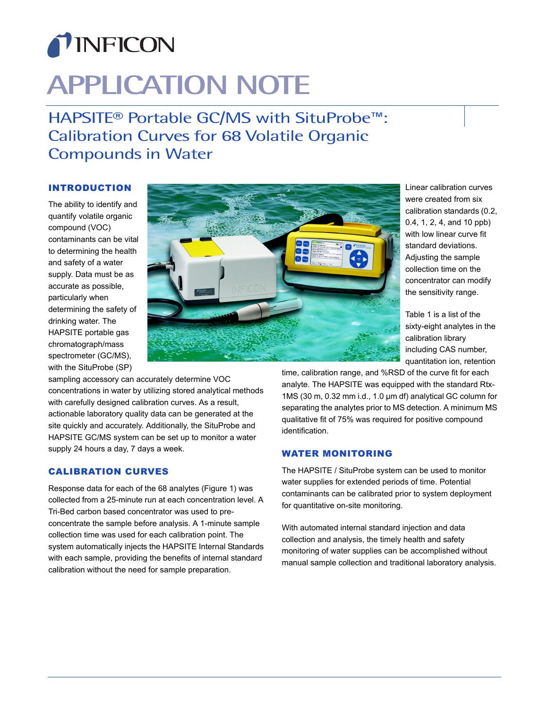# TINFICON

# **APPLICATION NOTE**

HAPSITE® Portable GC/MS with SituProbe™: Calibration Curves for 68 Volatile Organic Compounds in Water

# INTRODUCTION

The ability to identify and quantify volatile organic compound (VOC) contaminants can be vital to determining the health and safety of a water supply. Data must be as accurate as possible, particularly when determining the safety of drinking water. The HAPSITE portable gas chromatograph/mass spectrometer (GC/MS), with the SituProbe (SP)



Linear calibration curves were created from six calibration standards (0.2, 0.4, 1, 2, 4, and 10 ppb) with low linear curve fit standard deviations. Adjusting the sample collection time on the concentrator can modify the sensitivity range.

Table 1 is a list of the sixty-eight analytes in the calibration library including CAS number, quantitation ion, retention

sampling accessory can accurately determine VOC concentrations in water by utilizing stored analytical methods with carefully designed calibration curves. As a result, actionable laboratory quality data can be generated at the site quickly and accurately. Additionally, the SituProbe and HAPSITE GC/MS system can be set up to monitor a water supply 24 hours a day, 7 days a week.

### CALIBRATION CURVES

Response data for each of the 68 analytes (Figure 1) was collected from a 25-minute run at each concentration level. A Tri-Bed carbon based concentrator was used to preconcentrate the sample before analysis. A 1-minute sample collection time was used for each calibration point. The system automatically injects the HAPSITE Internal Standards with each sample, providing the benefits of internal standard calibration without the need for sample preparation.

time, calibration range, and %RSD of the curve fit for each analyte. The HAPSITE was equipped with the standard Rtx-1MS (30 m, 0.32 mm i.d., 1.0 µm df) analytical GC column for separating the analytes prior to MS detection. A minimum MS qualitative fit of 75% was required for positive compound identification.

## WATER MONITORING

The HAPSITE / SituProbe system can be used to monitor water supplies for extended periods of time. Potential contaminants can be calibrated prior to system deployment for quantitative on-site monitoring.

With automated internal standard injection and data collection and analysis, the timely health and safety monitoring of water supplies can be accomplished without manual sample collection and traditional laboratory analysis.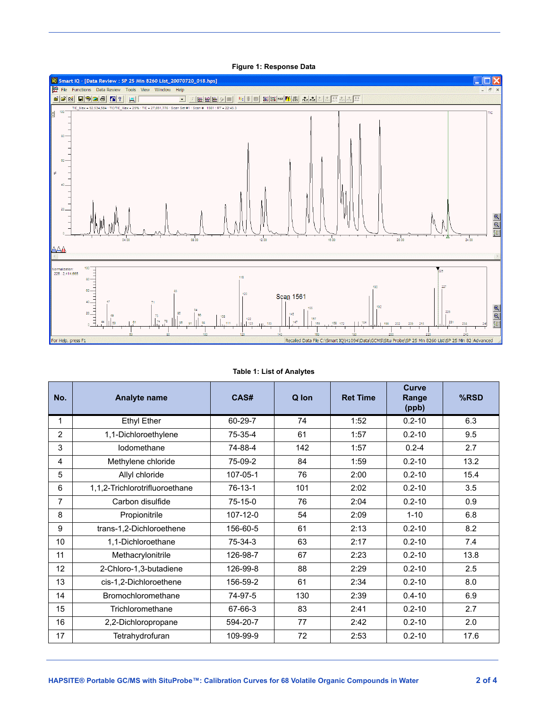



| Table 1: List of Analytes |  |  |  |  |  |
|---------------------------|--|--|--|--|--|
|---------------------------|--|--|--|--|--|

| No.            | Analyte name                   | CAS#     | Q lon | <b>Ret Time</b> | <b>Curve</b><br>Range<br>(ppb) | %RSD |
|----------------|--------------------------------|----------|-------|-----------------|--------------------------------|------|
| 1              | <b>Ethyl Ether</b>             | 60-29-7  | 74    | 1:52            | $0.2 - 10$                     | 6.3  |
| $\overline{2}$ | 1,1-Dichloroethylene           | 75-35-4  | 61    | 1:57            | $0.2 - 10$                     | 9.5  |
| 3              | lodomethane                    | 74-88-4  | 142   | 1:57            | $0.2 - 4$                      | 2.7  |
| 4              | Methylene chloride             | 75-09-2  | 84    | 1:59            | $0.2 - 10$                     | 13.2 |
| 5              | Allyl chloride                 | 107-05-1 | 76    | 2:00            | $0.2 - 10$                     | 15.4 |
| 6              | 1,1,2-Trichlorotrifluoroethane | 76-13-1  | 101   | 2:02            | $0.2 - 10$                     | 3.5  |
| $\overline{7}$ | Carbon disulfide               | 75-15-0  | 76    | 2:04            | $0.2 - 10$                     | 0.9  |
| 8              | Propionitrile                  | 107-12-0 | 54    | 2:09            | $1 - 10$                       | 6.8  |
| 9              | trans-1,2-Dichloroethene       | 156-60-5 | 61    | 2:13            | $0.2 - 10$                     | 8.2  |
| 10             | 1,1-Dichloroethane             | 75-34-3  | 63    | 2:17            | $0.2 - 10$                     | 7.4  |
| 11             | Methacrylonitrile              | 126-98-7 | 67    | 2:23            | $0.2 - 10$                     | 13.8 |
| 12             | 2-Chloro-1,3-butadiene         | 126-99-8 | 88    | 2:29            | $0.2 - 10$                     | 2.5  |
| 13             | cis-1,2-Dichloroethene         | 156-59-2 | 61    | 2:34            | $0.2 - 10$                     | 8.0  |
| 14             | Bromochloromethane             | 74-97-5  | 130   | 2:39            | $0.4 - 10$                     | 6.9  |
| 15             | Trichloromethane               | 67-66-3  | 83    | 2:41            | $0.2 - 10$                     | 2.7  |
| 16             | 2,2-Dichloropropane            | 594-20-7 | 77    | 2:42            | $0.2 - 10$                     | 2.0  |
| 17             | Tetrahydrofuran                | 109-99-9 | 72    | 2:53            | $0.2 - 10$                     | 17.6 |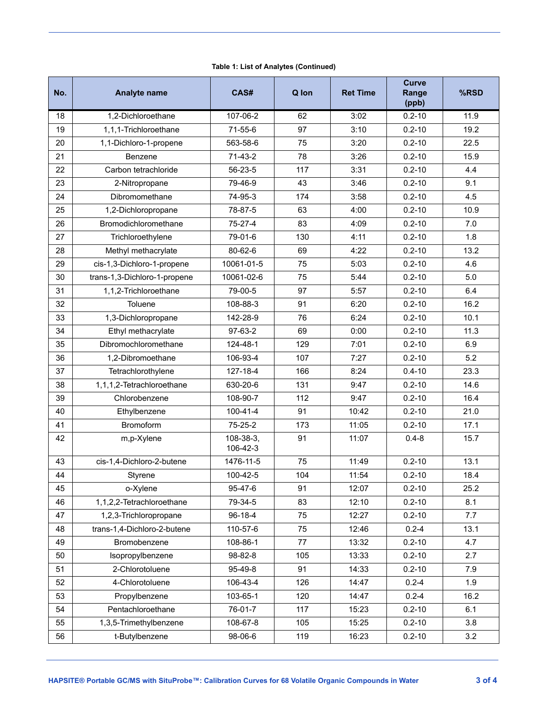| No. | <b>Analyte name</b>          | CAS#                  | Q lon | <b>Ret Time</b> | <b>Curve</b><br>Range<br>(ppb) | %RSD |
|-----|------------------------------|-----------------------|-------|-----------------|--------------------------------|------|
| 18  | 1,2-Dichloroethane           | 107-06-2              | 62    | 3:02            | $0.2 - 10$                     | 11.9 |
| 19  | 1,1,1-Trichloroethane        | 71-55-6               | 97    | 3:10            | $0.2 - 10$                     | 19.2 |
| 20  | 1,1-Dichloro-1-propene       | 563-58-6              | 75    | 3:20            | $0.2 - 10$                     | 22.5 |
| 21  | Benzene                      | $71-43-2$             | 78    | 3:26            | $0.2 - 10$                     | 15.9 |
| 22  | Carbon tetrachloride         | 56-23-5               | 117   | 3:31            | $0.2 - 10$                     | 4.4  |
| 23  | 2-Nitropropane               | 79-46-9               | 43    | 3:46            | $0.2 - 10$                     | 9.1  |
| 24  | Dibromomethane               | 74-95-3               | 174   | 3:58            | $0.2 - 10$                     | 4.5  |
| 25  | 1,2-Dichloropropane          | 78-87-5               | 63    | 4:00            | $0.2 - 10$                     | 10.9 |
| 26  | Bromodichloromethane         | 75-27-4               | 83    | 4:09            | $0.2 - 10$                     | 7.0  |
| 27  | Trichloroethylene            | 79-01-6               | 130   | 4:11            | $0.2 - 10$                     | 1.8  |
| 28  | Methyl methacrylate          | 80-62-6               | 69    | 4:22            | $0.2 - 10$                     | 13.2 |
| 29  | cis-1,3-Dichloro-1-propene   | 10061-01-5            | 75    | 5:03            | $0.2 - 10$                     | 4.6  |
| 30  | trans-1,3-Dichloro-1-propene | 10061-02-6            | 75    | 5:44            | $0.2 - 10$                     | 5.0  |
| 31  | 1,1,2-Trichloroethane        | 79-00-5               | 97    | 5:57            | $0.2 - 10$                     | 6.4  |
| 32  | Toluene                      | 108-88-3              | 91    | 6:20            | $0.2 - 10$                     | 16.2 |
| 33  | 1,3-Dichloropropane          | 142-28-9              | 76    | 6:24            | $0.2 - 10$                     | 10.1 |
| 34  | Ethyl methacrylate           | 97-63-2               | 69    | 0:00            | $0.2 - 10$                     | 11.3 |
| 35  | Dibromochloromethane         | 124-48-1              | 129   | 7:01            | $0.2 - 10$                     | 6.9  |
| 36  | 1,2-Dibromoethane            | 106-93-4              | 107   | 7:27            | $0.2 - 10$                     | 5.2  |
| 37  | Tetrachlorothylene           | 127-18-4              | 166   | 8:24            | $0.4 - 10$                     | 23.3 |
| 38  | 1,1,1,2-Tetrachloroethane    | 630-20-6              | 131   | 9:47            | $0.2 - 10$                     | 14.6 |
| 39  | Chlorobenzene                | 108-90-7              | 112   | 9:47            | $0.2 - 10$                     | 16.4 |
| 40  | Ethylbenzene                 | $100 - 41 - 4$        | 91    | 10:42           | $0.2 - 10$                     | 21.0 |
| 41  | Bromoform                    | 75-25-2               | 173   | 11:05           | $0.2 - 10$                     | 17.1 |
| 42  | m,p-Xylene                   | 108-38-3,<br>106-42-3 | 91    | 11:07           | $0.4 - 8$                      | 15.7 |
| 43  | cis-1,4-Dichloro-2-butene    | 1476-11-5             | 75    | 11:49           | $0.2 - 10$                     | 13.1 |
| 44  | Styrene                      | 100-42-5              | 104   | 11:54           | $0.2 - 10$                     | 18.4 |
| 45  | o-Xylene                     | 95-47-6               | 91    | 12:07           | $0.2 - 10$                     | 25.2 |
| 46  | 1,1,2,2-Tetrachloroethane    | 79-34-5               | 83    | 12:10           | $0.2 - 10$                     | 8.1  |
| 47  | 1,2,3-Trichloropropane       | 96-18-4               | 75    | 12:27           | $0.2 - 10$                     | 7.7  |
| 48  | trans-1,4-Dichloro-2-butene  | 110-57-6              | 75    | 12:46           | $0.2 - 4$                      | 13.1 |
| 49  | Bromobenzene                 | 108-86-1              | 77    | 13:32           | $0.2 - 10$                     | 4.7  |
| 50  | Isopropylbenzene             | 98-82-8               | 105   | 13:33           | $0.2 - 10$                     | 2.7  |
| 51  | 2-Chlorotoluene              | 95-49-8               | 91    | 14:33           | $0.2 - 10$                     | 7.9  |
| 52  | 4-Chlorotoluene              | 106-43-4              | 126   | 14:47           | $0.2 - 4$                      | 1.9  |
| 53  | Propylbenzene                | 103-65-1              | 120   | 14:47           | $0.2 - 4$                      | 16.2 |
| 54  | Pentachloroethane            | 76-01-7               | 117   | 15:23           | $0.2 - 10$                     | 6.1  |
| 55  | 1,3,5-Trimethylbenzene       | 108-67-8              | 105   | 15:25           | $0.2 - 10$                     | 3.8  |
| 56  | t-Butylbenzene               | 98-06-6               | 119   | 16:23           | $0.2 - 10$                     | 3.2  |

#### **Table 1: List of Analytes (Continued)**